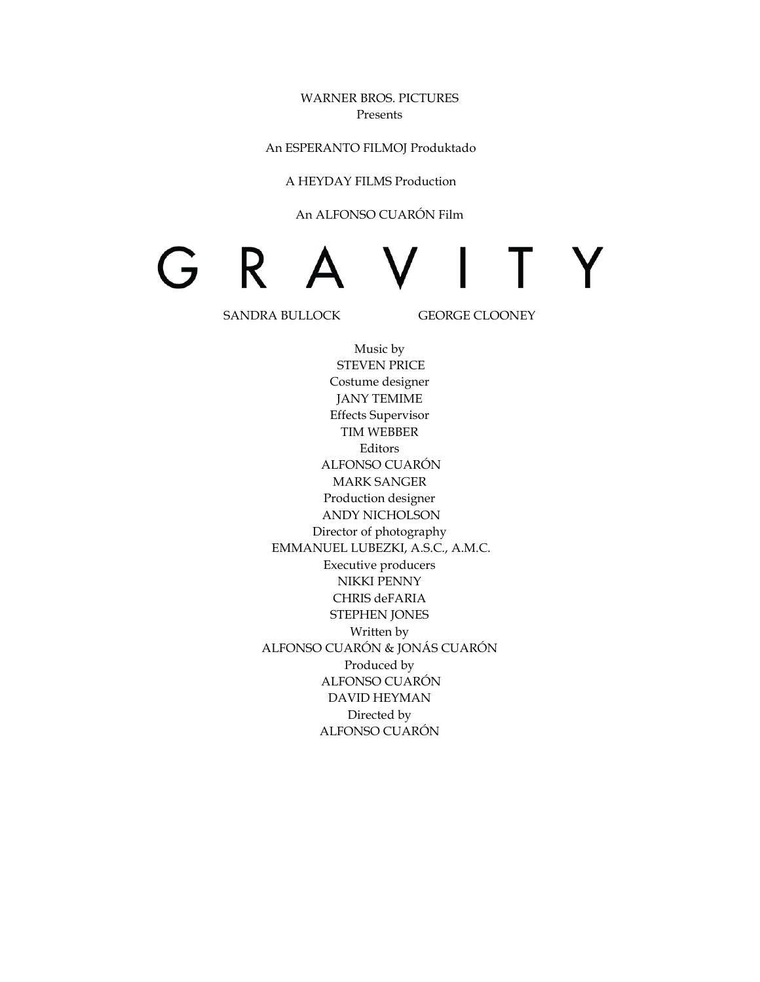WARNER BROS. PICTURES Presents

An ESPERANTO FILMOJ Produktado

A HEYDAY FILMS Production

#### An ALFONSO CUARÓN Film

# G R **Y** T.

SANDRA BULLOCK GEORGE CLOONEY

Music by STEVEN PRICE Costume designer JANY TEMIME Effects Supervisor TIM WEBBER Editors ALFONSO CUARÓN MARK SANGER Production designer ANDY NICHOLSON Director of photography EMMANUEL LUBEZKI, A.S.C., A.M.C. Executive producers NIKKI PENNY CHRIS deFARIA STEPHEN JONES Written by ALFONSO CUARÓN & JONÁS CUARÓN Produced by ALFONSO CUARÓN DAVID HEYMAN Directed by ALFONSO CUARÓN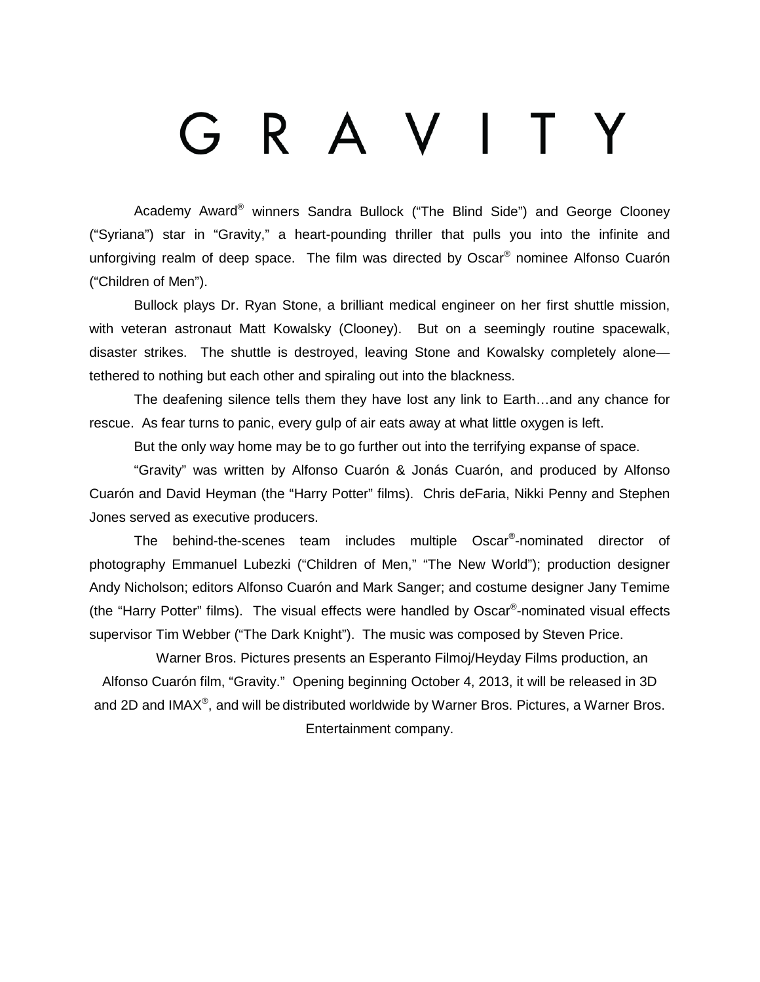# R A V I T

Academy Award® winners Sandra Bullock ("The Blind Side") and George Clooney ("Syriana") star in "Gravity," a heart-pounding thriller that pulls you into the infinite and unforgiving realm of deep space. The film was directed by Oscar<sup>®</sup> nominee Alfonso Cuarón ("Children of Men").

Bullock plays Dr. Ryan Stone, a brilliant medical engineer on her first shuttle mission, with veteran astronaut Matt Kowalsky (Clooney). But on a seemingly routine spacewalk, disaster strikes. The shuttle is destroyed, leaving Stone and Kowalsky completely alone tethered to nothing but each other and spiraling out into the blackness.

The deafening silence tells them they have lost any link to Earth…and any chance for rescue. As fear turns to panic, every gulp of air eats away at what little oxygen is left.

But the only way home may be to go further out into the terrifying expanse of space.

"Gravity" was written by Alfonso Cuarón & Jonás Cuarón, and produced by Alfonso Cuarón and David Heyman (the "Harry Potter" films). Chris deFaria, Nikki Penny and Stephen Jones served as executive producers.

The behind-the-scenes team includes multiple Oscar® -nominated director of photography Emmanuel Lubezki ("Children of Men," "The New World"); production designer Andy Nicholson; editors Alfonso Cuarón and Mark Sanger; and costume designer Jany Temime (the "Harry Potter" films). The visual effects were handled by Oscar®-nominated visual effects supervisor Tim Webber ("The Dark Knight"). The music was composed by Steven Price.

Warner Bros. Pictures presents an Esperanto Filmoj/Heyday Films production, an Alfonso Cuarón film, "Gravity." Opening beginning October 4, 2013, it will be released in 3D and 2D and IMAX<sup>®</sup>, and will be distributed worldwide by Warner Bros. Pictures, a Warner Bros. Entertainment company.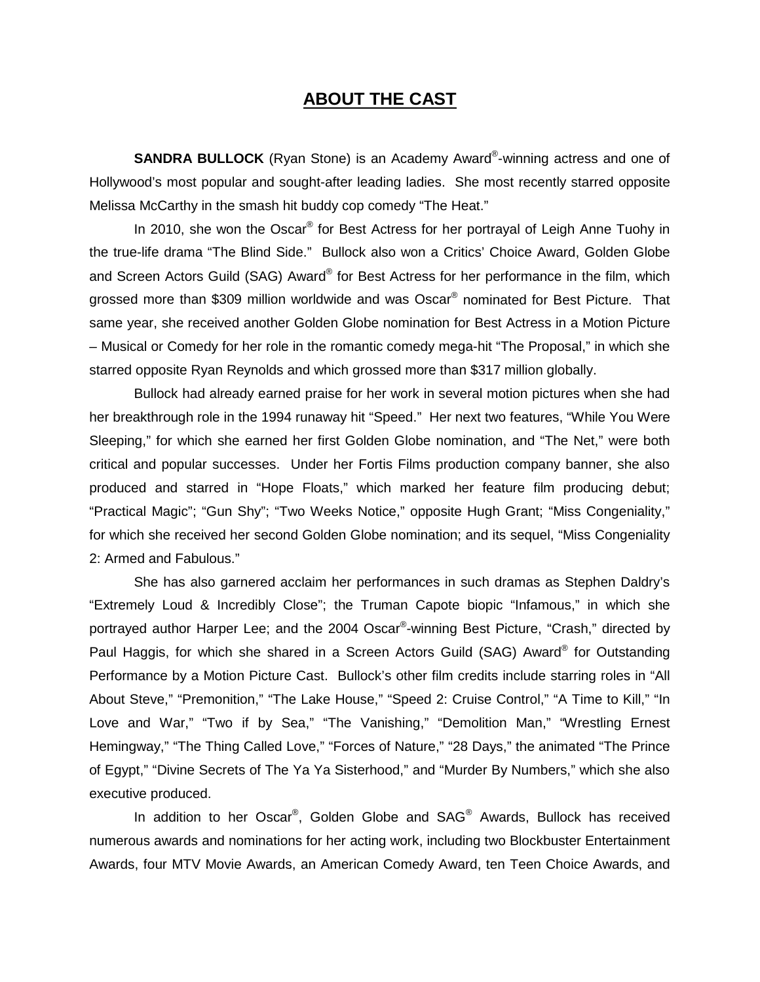# **ABOUT THE CAST**

**SANDRA BULLOCK** (Ryan Stone) is an Academy Award®-winning actress and one of Hollywood's most popular and sought-after leading ladies. She most recently starred opposite Melissa McCarthy in the smash hit buddy cop comedy "The Heat."

In 2010, she won the Oscar<sup>®</sup> for Best Actress for her portrayal of Leigh Anne Tuohy in the true-life drama "The Blind Side." Bullock also won a Critics' Choice Award, Golden Globe and Screen Actors Guild (SAG) Award® for Best Actress for her performance in the film, which grossed more than \$309 million worldwide and was Oscar® nominated for Best Picture. That same year, she received another Golden Globe nomination for Best Actress in a Motion Picture – Musical or Comedy for her role in the romantic comedy mega-hit "The Proposal," in which she starred opposite Ryan Reynolds and which grossed more than \$317 million globally.

Bullock had already earned praise for her work in several motion pictures when she had her breakthrough role in the 1994 runaway hit "Speed." Her next two features, "While You Were Sleeping," for which she earned her first Golden Globe nomination, and "The Net," were both critical and popular successes. Under her Fortis Films production company banner, she also produced and starred in "Hope Floats," which marked her feature film producing debut; "Practical Magic"; "Gun Shy"; "Two Weeks Notice," opposite Hugh Grant; "Miss Congeniality," for which she received her second Golden Globe nomination; and its sequel, "Miss Congeniality 2: Armed and Fabulous."

She has also garnered acclaim her performances in such dramas as Stephen Daldry's "Extremely Loud & Incredibly Close"; the Truman Capote biopic "Infamous," in which she portrayed author Harper Lee; and the 2004 Oscar®-winning Best Picture, "Crash," directed by Paul Haggis, for which she shared in a Screen Actors Guild (SAG) Award® for Outstanding Performance by a Motion Picture Cast. Bullock's other film credits include starring roles in "All About Steve," "Premonition," "The Lake House," "Speed 2: Cruise Control," "A Time to Kill," "In Love and War," "Two if by Sea," "The Vanishing," "Demolition Man," "Wrestling Ernest Hemingway," "The Thing Called Love," "Forces of Nature," "28 Days," the animated "The Prince of Egypt," "Divine Secrets of The Ya Ya Sisterhood," and "Murder By Numbers," which she also executive produced.

In addition to her Oscar<sup>®</sup>, Golden Globe and SAG<sup>®</sup> Awards, Bullock has received numerous awards and nominations for her acting work, including two Blockbuster Entertainment Awards, four MTV Movie Awards, an American Comedy Award, ten Teen Choice Awards, and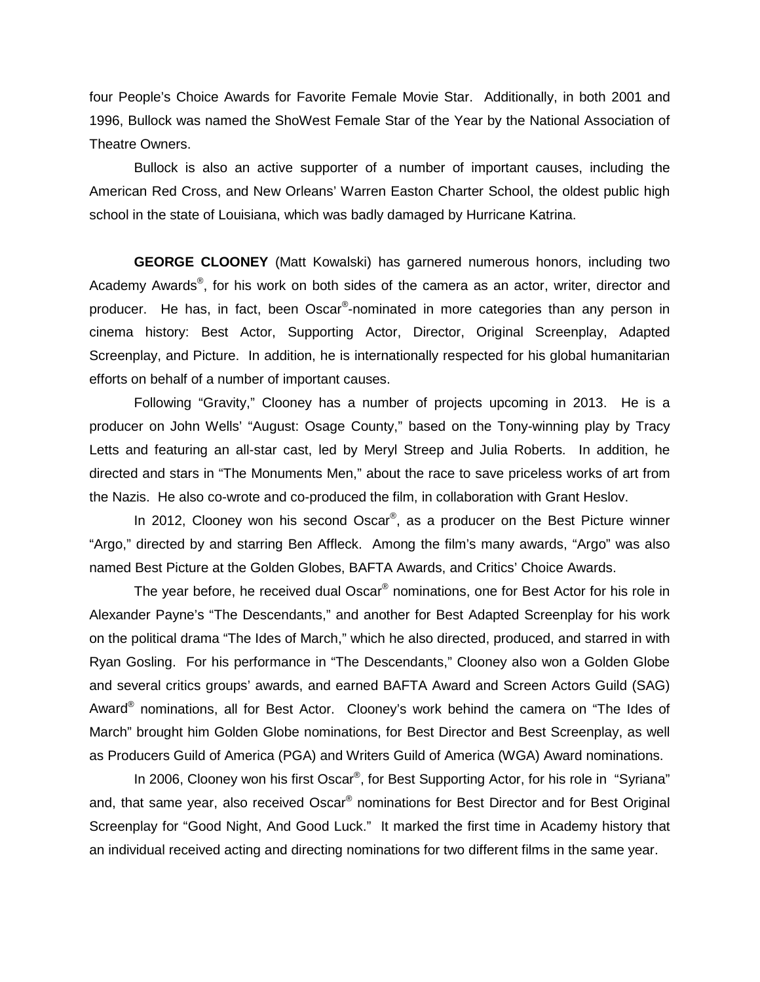four People's Choice Awards for Favorite Female Movie Star. Additionally, in both 2001 and 1996, Bullock was named the ShoWest Female Star of the Year by the National Association of Theatre Owners.

Bullock is also an active supporter of a number of important causes, including the American Red Cross, and New Orleans' Warren Easton Charter School, the oldest public high school in the state of Louisiana, which was badly damaged by Hurricane Katrina.

**GEORGE CLOONEY** (Matt Kowalski) has garnered numerous honors, including two Academy Awards<sup>®</sup>, for his work on both sides of the camera as an actor, writer, director and producer. He has, in fact, been Oscar®-nominated in more categories than any person in cinema history: Best Actor, Supporting Actor, Director, Original Screenplay, Adapted Screenplay, and Picture. In addition, he is internationally respected for his global humanitarian efforts on behalf of a number of important causes.

Following "Gravity," Clooney has a number of projects upcoming in 2013. He is a producer on John Wells' "August: Osage County," based on the Tony-winning play by Tracy Letts and featuring an all-star cast, led by Meryl Streep and Julia Roberts. In addition, he directed and stars in "The Monuments Men," about the race to save priceless works of art from the Nazis. He also co-wrote and co-produced the film, in collaboration with Grant Heslov.

In 2012, Clooney won his second Oscar<sup>®</sup>, as a producer on the Best Picture winner "Argo," directed by and starring Ben Affleck. Among the film's many awards, "Argo" was also named Best Picture at the Golden Globes, BAFTA Awards, and Critics' Choice Awards.

The year before, he received dual Oscar<sup>®</sup> nominations, one for Best Actor for his role in Alexander Payne's "The Descendants," and another for Best Adapted Screenplay for his work on the political drama "The Ides of March," which he also directed, produced, and starred in with Ryan Gosling. For his performance in "The Descendants," Clooney also won a Golden Globe and several critics groups' awards, and earned BAFTA Award and Screen Actors Guild (SAG) Award<sup>®</sup> nominations, all for Best Actor. Clooney's work behind the camera on "The Ides of March" brought him Golden Globe nominations, for Best Director and Best Screenplay, as well as Producers Guild of America (PGA) and Writers Guild of America (WGA) Award nominations.

In 2006, Clooney won his first Oscar<sup>®</sup>, for Best Supporting Actor, for his role in "Syriana" and, that same year, also received Oscar<sup>®</sup> nominations for Best Director and for Best Original Screenplay for "Good Night, And Good Luck." It marked the first time in Academy history that an individual received acting and directing nominations for two different films in the same year.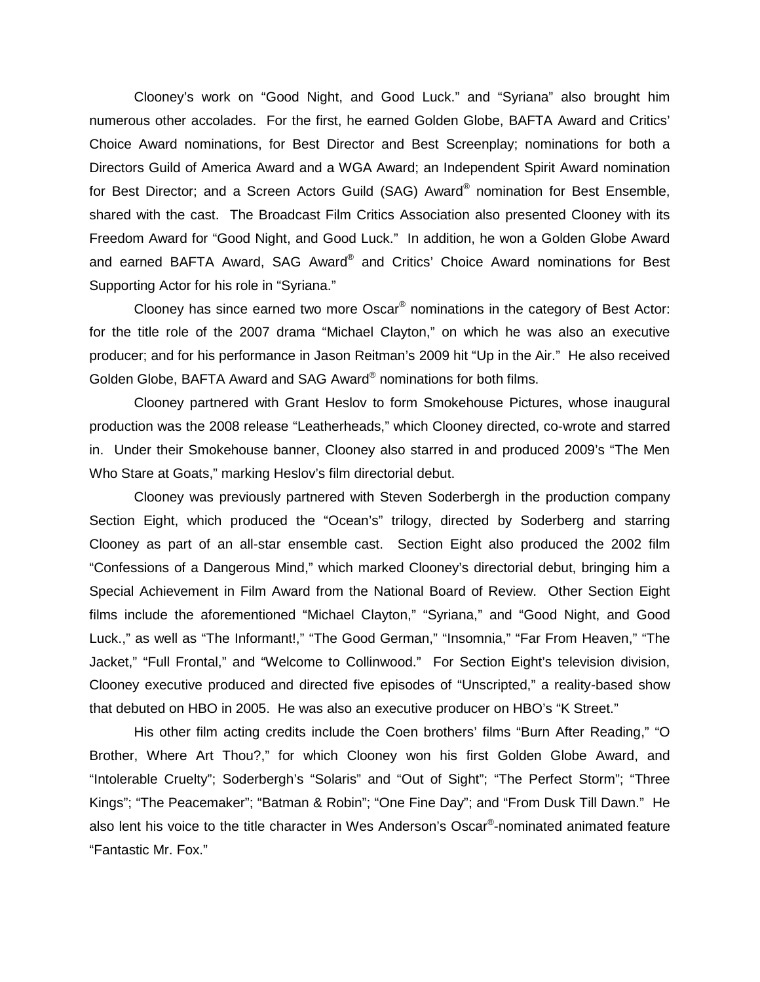Clooney's work on "Good Night, and Good Luck." and "Syriana" also brought him numerous other accolades. For the first, he earned Golden Globe, BAFTA Award and Critics' Choice Award nominations, for Best Director and Best Screenplay; nominations for both a Directors Guild of America Award and a WGA Award; an Independent Spirit Award nomination for Best Director; and a Screen Actors Guild (SAG) Award® nomination for Best Ensemble, shared with the cast. The Broadcast Film Critics Association also presented Clooney with its Freedom Award for "Good Night, and Good Luck." In addition, he won a Golden Globe Award and earned BAFTA Award, SAG Award® and Critics' Choice Award nominations for Best Supporting Actor for his role in "Syriana."

Clooney has since earned two more Oscar® nominations in the category of Best Actor: for the title role of the 2007 drama "Michael Clayton," on which he was also an executive producer; and for his performance in Jason Reitman's 2009 hit "Up in the Air." He also received Golden Globe, BAFTA Award and SAG Award® nominations for both films.

Clooney partnered with Grant Heslov to form Smokehouse Pictures, whose inaugural production was the 2008 release "Leatherheads," which Clooney directed, co-wrote and starred in. Under their Smokehouse banner, Clooney also starred in and produced 2009's "The Men Who Stare at Goats," marking Heslov's film directorial debut.

Clooney was previously partnered with Steven Soderbergh in the production company Section Eight, which produced the "Ocean's" trilogy, directed by Soderberg and starring Clooney as part of an all-star ensemble cast. Section Eight also produced the 2002 film "Confessions of a Dangerous Mind," which marked Clooney's directorial debut, bringing him a Special Achievement in Film Award from the National Board of Review. Other Section Eight films include the aforementioned "Michael Clayton," "Syriana," and "Good Night, and Good Luck.," as well as "The Informant!," "The Good German," "Insomnia," "Far From Heaven," "The Jacket," "Full Frontal," and "Welcome to Collinwood." For Section Eight's television division, Clooney executive produced and directed five episodes of "Unscripted," a reality-based show that debuted on HBO in 2005. He was also an executive producer on HBO's "K Street."

His other film acting credits include the Coen brothers' films "Burn After Reading," "O Brother, Where Art Thou?," for which Clooney won his first Golden Globe Award, and "Intolerable Cruelty"; Soderbergh's "Solaris" and "Out of Sight"; "The Perfect Storm"; "Three Kings"; "The Peacemaker"; "Batman & Robin"; "One Fine Day"; and "From Dusk Till Dawn." He also lent his voice to the title character in Wes Anderson's Oscar®-nominated animated feature "Fantastic Mr. Fox."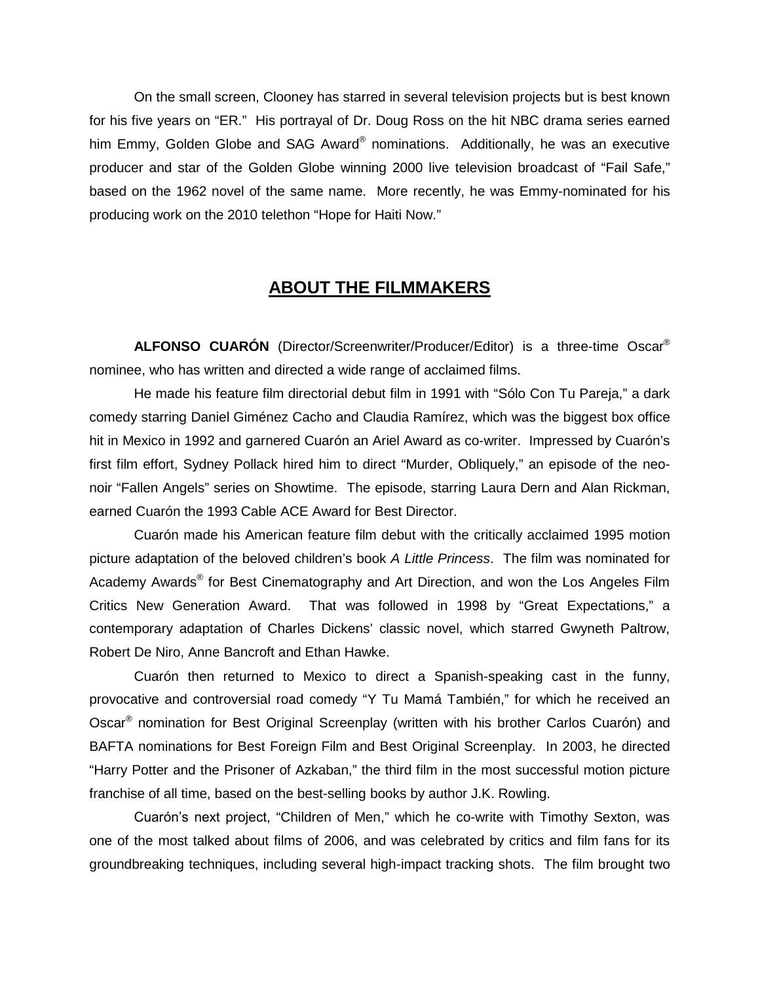On the small screen, Clooney has starred in several television projects but is best known for his five years on "ER." His portrayal of Dr. Doug Ross on the hit NBC drama series earned him Emmy, Golden Globe and SAG Award® nominations. Additionally, he was an executive producer and star of the Golden Globe winning 2000 live television broadcast of "Fail Safe," based on the 1962 novel of the same name. More recently, he was Emmy-nominated for his producing work on the 2010 telethon "Hope for Haiti Now."

# **ABOUT THE FILMMAKERS**

**ALFONSO CUARÓN** (Director/Screenwriter/Producer/Editor) is a three-time Oscar® nominee, who has written and directed a wide range of acclaimed films.

He made his feature film directorial debut film in 1991 with "Sólo Con Tu Pareja," a dark comedy starring Daniel Giménez Cacho and Claudia Ramírez, which was the biggest box office hit in Mexico in 1992 and garnered Cuarón an Ariel Award as co-writer. Impressed by Cuarón's first film effort, Sydney Pollack hired him to direct "Murder, Obliquely," an episode of the neonoir "Fallen Angels" series on Showtime. The episode, starring Laura Dern and Alan Rickman, earned Cuarón the 1993 Cable ACE Award for Best Director.

Cuarón made his American feature film debut with the critically acclaimed 1995 motion picture adaptation of the beloved children's book *A Little Princess*. The film was nominated for Academy Awards<sup>®</sup> for Best Cinematography and Art Direction, and won the Los Angeles Film Critics New Generation Award. That was followed in 1998 by "Great Expectations," a contemporary adaptation of Charles Dickens' classic novel, which starred Gwyneth Paltrow, Robert De Niro, Anne Bancroft and Ethan Hawke.

Cuarón then returned to Mexico to direct a Spanish-speaking cast in the funny, provocative and controversial road comedy "Y Tu Mamá También," for which he received an Oscar® nomination for Best Original Screenplay (written with his brother Carlos Cuarón) and BAFTA nominations for Best Foreign Film and Best Original Screenplay. In 2003, he directed "Harry Potter and the Prisoner of Azkaban," the third film in the most successful motion picture franchise of all time, based on the best-selling books by author J.K. Rowling.

Cuarόn's next project, "Children of Men," which he co-write with Timothy Sexton, was one of the most talked about films of 2006, and was celebrated by critics and film fans for its groundbreaking techniques, including several high-impact tracking shots. The film brought two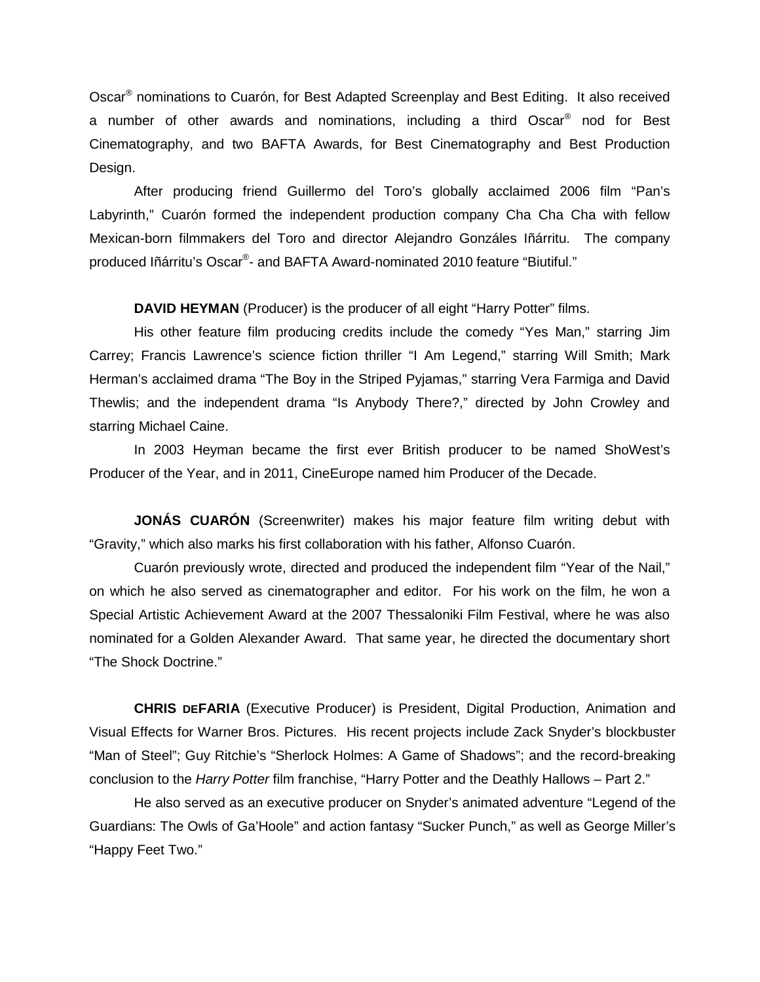Oscar® nominations to Cuarón, for Best Adapted Screenplay and Best Editing. It also received a number of other awards and nominations, including a third Oscar<sup>®</sup> nod for Best Cinematography, and two BAFTA Awards, for Best Cinematography and Best Production Design.

After producing friend Guillermo del Toro's globally acclaimed 2006 film "Pan's Labyrinth," Cuarón formed the independent production company Cha Cha Cha with fellow Mexican-born filmmakers del Toro and director Alejandro Gonzáles Iñárritu. The company produced [Iñárritu'](http://pro.imdb.com/name/nm0327944/)s Oscar®- and BAFTA Award-nominated 2010 feature "Biutiful."

**DAVID HEYMAN** (Producer) is the producer of all eight "Harry Potter" films.

His other feature film producing credits include the comedy "Yes Man," starring Jim Carrey; Francis Lawrence's science fiction thriller "I Am Legend," starring Will Smith; Mark Herman's acclaimed drama "The Boy in the Striped Pyjamas," starring Vera Farmiga and David Thewlis; and the independent drama "Is Anybody There?," directed by John Crowley and starring Michael Caine.

In 2003 Heyman became the first ever British producer to be named ShoWest's Producer of the Year, and in 2011, CineEurope named him Producer of the Decade.

**JONÁS CUARÓN** (Screenwriter) makes his major feature film writing debut with "Gravity," which also marks his first collaboration with his father, Alfonso Cuarón.

Cuarón previously wrote, directed and produced the independent film "Year of the Nail," on which he also served as cinematographer and editor. For his work on the film, he won a Special Artistic Achievement Award at the 2007 Thessaloniki Film Festival, where he was also nominated for a Golden Alexander Award. That same year, he directed the documentary short "The Shock Doctrine."

**CHRIS DEFARIA** (Executive Producer) is President, Digital Production, Animation and Visual Effects for Warner Bros. Pictures. His recent projects include Zack Snyder's blockbuster "Man of Steel"; Guy Ritchie's "Sherlock Holmes: A Game of Shadows"; and the record-breaking conclusion to the *Harry Potter* film franchise, "Harry Potter and the Deathly Hallows – Part 2."

He also served as an executive producer on Snyder's animated adventure "Legend of the Guardians: The Owls of Ga'Hoole" and action fantasy "Sucker Punch," as well as George Miller's "Happy Feet Two."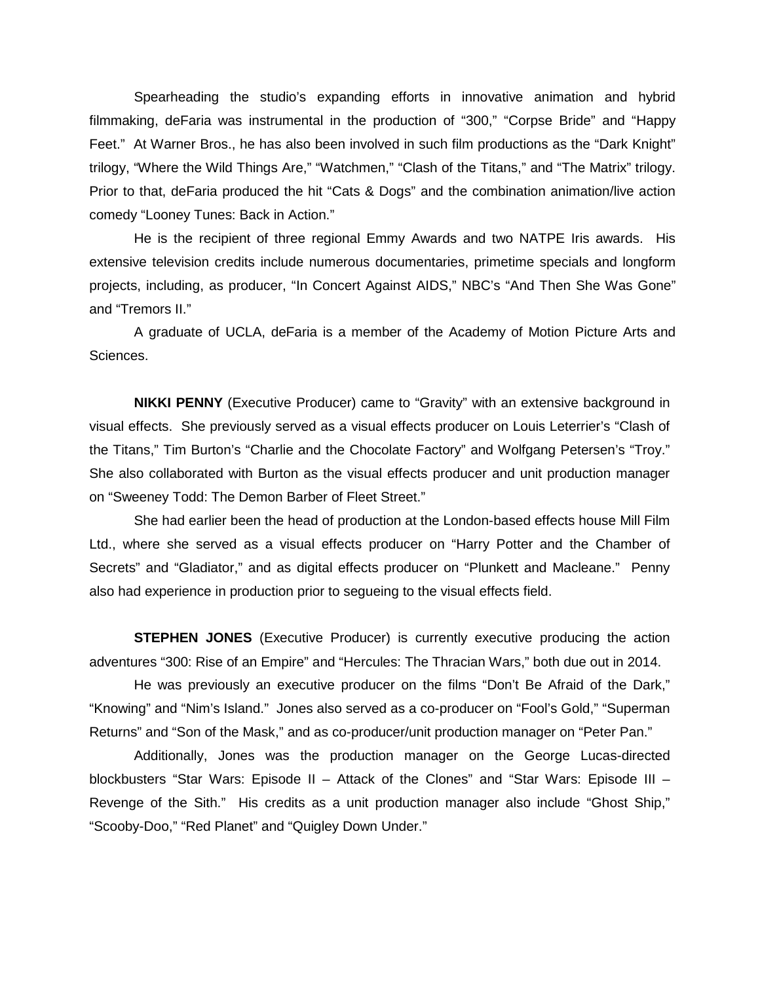Spearheading the studio's expanding efforts in innovative animation and hybrid filmmaking, deFaria was instrumental in the production of "300," "Corpse Bride" and "Happy Feet." At Warner Bros., he has also been involved in such film productions as the "Dark Knight" trilogy, "Where the Wild Things Are," "Watchmen," "Clash of the Titans," and "The Matrix" trilogy. Prior to that, deFaria produced the hit "Cats & Dogs" and the combination animation/live action comedy "Looney Tunes: Back in Action."

He is the recipient of three regional Emmy Awards and two NATPE Iris awards. His extensive television credits include numerous documentaries, primetime specials and longform projects, including, as producer, "In Concert Against AIDS," NBC's "And Then She Was Gone" and "Tremors II."

A graduate of UCLA, deFaria is a member of the Academy of Motion Picture Arts and Sciences.

**NIKKI PENNY** (Executive Producer) came to "Gravity" with an extensive background in visual effects. She previously served as a visual effects producer on Louis Leterrier's "Clash of the Titans," Tim Burton's "Charlie and the Chocolate Factory" and Wolfgang Petersen's "Troy." She also collaborated with Burton as the visual effects producer and unit production manager on "Sweeney Todd: The Demon Barber of Fleet Street."

She had earlier been the head of production at the London-based effects house Mill Film Ltd., where she served as a visual effects producer on "Harry Potter and the Chamber of Secrets" and "Gladiator," and as digital effects producer on "Plunkett and Macleane." Penny also had experience in production prior to segueing to the visual effects field.

**STEPHEN JONES** (Executive Producer) is currently executive producing the action adventures "300: Rise of an Empire" and "Hercules: The Thracian Wars," both due out in 2014.

He was previously an executive producer on the films "Don't Be Afraid of the Dark," "Knowing" and "Nim's Island." Jones also served as a co-producer on "Fool's Gold," "Superman Returns" and "Son of the Mask," and as co-producer/unit production manager on "Peter Pan."

Additionally, Jones was the production manager on the George Lucas-directed blockbusters "Star Wars: Episode II – Attack of the Clones" and "Star Wars: Episode III – Revenge of the Sith." His credits as a unit production manager also include "Ghost Ship," "Scooby-Doo," "Red Planet" and "Quigley Down Under."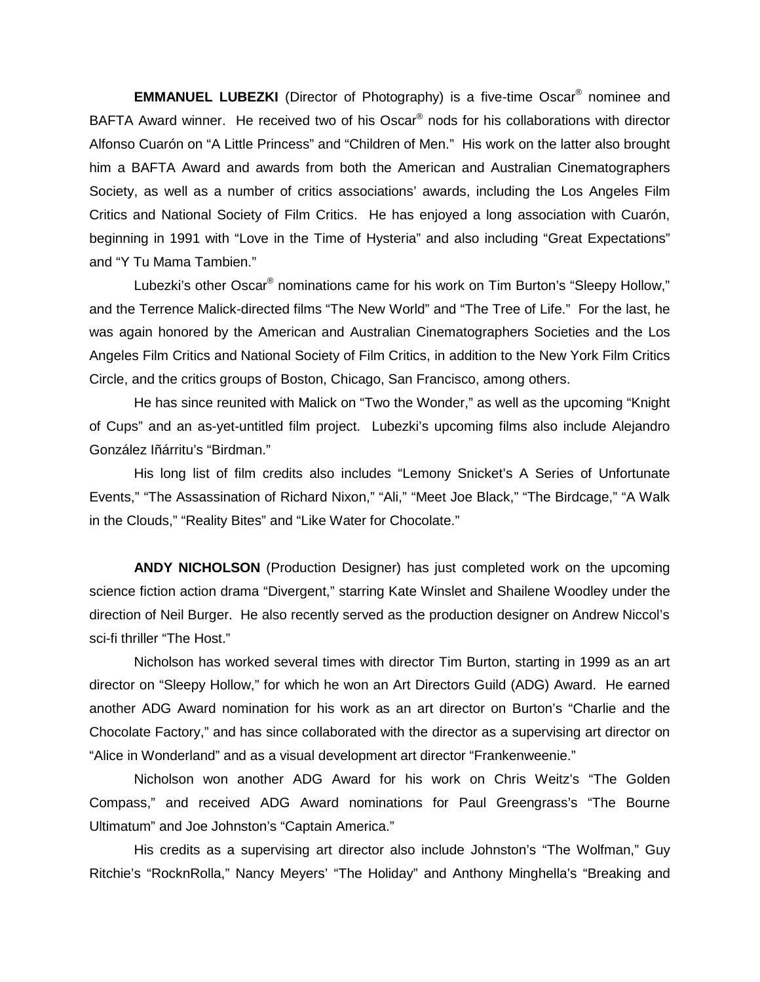**EMMANUEL LUBEZKI** (Director of Photography) is a five-time Oscar® nominee and BAFTA Award winner. He received two of his Oscar<sup>®</sup> nods for his collaborations with director Alfonso Cuarón on "A Little Princess" and "Children of Men." His work on the latter also brought him a BAFTA Award and awards from both the American and Australian Cinematographers Society, as well as a number of critics associations' awards, including the Los Angeles Film Critics and National Society of Film Critics. He has enjoyed a long association with Cuarón, beginning in 1991 with "Love in the Time of Hysteria" and also including "Great Expectations" and "Y Tu Mama Tambien."

Lubezki's other Oscar<sup>®</sup> nominations came for his work on Tim Burton's "Sleepy Hollow," and the Terrence Malick-directed films "The New World" and "The Tree of Life." For the last, he was again honored by the American and Australian Cinematographers Societies and the Los Angeles Film Critics and National Society of Film Critics, in addition to the New York Film Critics Circle, and the critics groups of Boston, Chicago, San Francisco, among others.

He has since reunited with Malick on "Two the Wonder," as well as the upcoming "Knight of Cups" and an as-yet-untitled film project. Lubezki's upcoming films also include Alejandro González Iñárritu's "Birdman."

His long list of film credits also includes "Lemony Snicket's A Series of Unfortunate Events," "The Assassination of Richard Nixon," "Ali," "Meet Joe Black," "The Birdcage," "A Walk in the Clouds," "Reality Bites" and "Like Water for Chocolate."

**ANDY NICHOLSON** (Production Designer) has just completed work on the upcoming science fiction action drama "Divergent," starring Kate Winslet and Shailene Woodley under the direction of Neil Burger. He also recently served as the production designer on Andrew Niccol's sci-fi thriller "The Host."

Nicholson has worked several times with director Tim Burton, starting in 1999 as an art director on "Sleepy Hollow," for which he won an Art Directors Guild (ADG) Award. He earned another ADG Award nomination for his work as an art director on Burton's "Charlie and the Chocolate Factory," and has since collaborated with the director as a supervising art director on "Alice in Wonderland" and as a visual development art director "Frankenweenie."

Nicholson won another ADG Award for his work on Chris Weitz's "The Golden Compass," and received ADG Award nominations for Paul Greengrass's "The Bourne Ultimatum" and Joe Johnston's "Captain America."

His credits as a supervising art director also include Johnston's "The Wolfman," Guy Ritchie's "RocknRolla," Nancy Meyers' "The Holiday" and Anthony Minghella's "Breaking and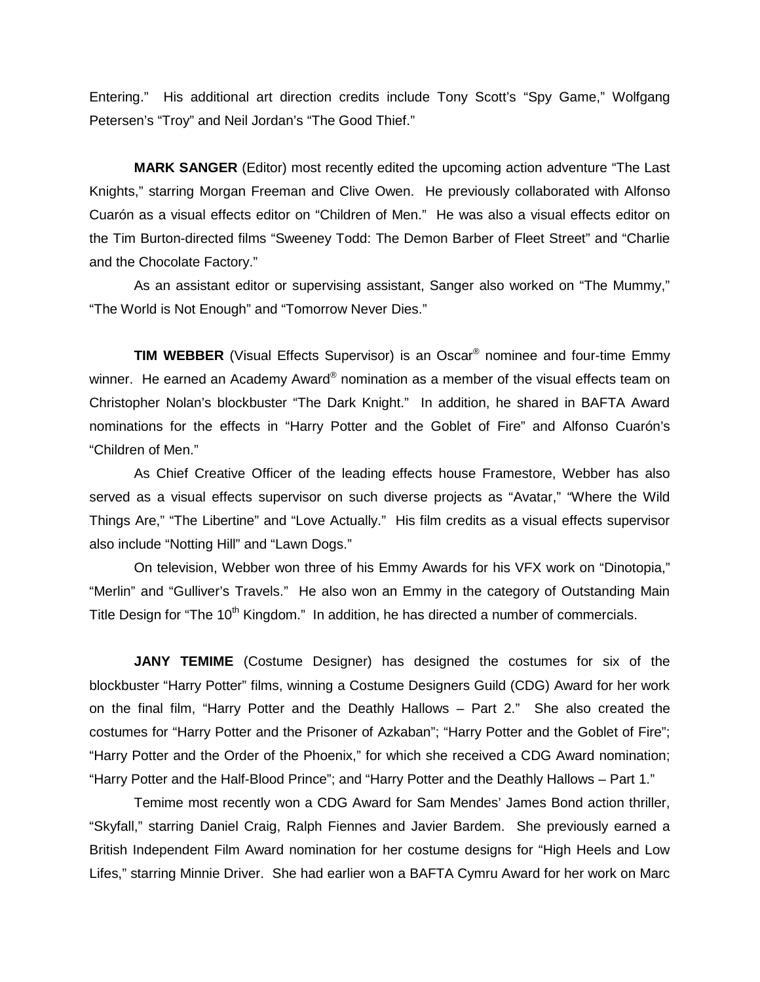Entering." His additional art direction credits include Tony Scott's "Spy Game," Wolfgang Petersen's "Troy" and Neil Jordan's "The Good Thief."

**MARK SANGER** (Editor) most recently edited the upcoming action adventure "The Last Knights," starring Morgan Freeman and Clive Owen. He previously collaborated with Alfonso Cuarón as a visual effects editor on "Children of Men." He was also a visual effects editor on the Tim Burton-directed films "Sweeney Todd: The Demon Barber of Fleet Street" and "Charlie and the Chocolate Factory."

As an assistant editor or supervising assistant, Sanger also worked on "The Mummy," "The World is Not Enough" and "Tomorrow Never Dies."

**TIM WEBBER** (Visual Effects Supervisor) is an Oscar® nominee and four-time Emmy winner. He earned an Academy Award® nomination as a member of the visual effects team on Christopher Nolan's blockbuster "The Dark Knight." In addition, he shared in BAFTA Award nominations for the effects in "Harry Potter and the Goblet of Fire" and Alfonso Cuarón's "Children of Men."

As Chief Creative Officer of the leading effects house Framestore, Webber has also served as a visual effects supervisor on such diverse projects as "Avatar," "Where the Wild Things Are," "The Libertine" and "Love Actually." His film credits as a visual effects supervisor also include "Notting Hill" and "Lawn Dogs."

On television, Webber won three of his Emmy Awards for his VFX work on "Dinotopia," "Merlin" and "Gulliver's Travels." He also won an Emmy in the category of Outstanding Main Title Design for "The 10<sup>th</sup> Kingdom." In addition, he has directed a number of commercials.

**JANY TEMIME** (Costume Designer) has designed the costumes for six of the blockbuster "Harry Potter" films, winning a Costume Designers Guild (CDG) Award for her work on the final film, "Harry Potter and the Deathly Hallows – Part 2." She also created the costumes for "Harry Potter and the Prisoner of Azkaban"; "Harry Potter and the Goblet of Fire"; "Harry Potter and the Order of the Phoenix," for which she received a CDG Award nomination; "Harry Potter and the Half-Blood Prince"; and "Harry Potter and the Deathly Hallows – Part 1."

Temime most recently won a CDG Award for Sam Mendes' James Bond action thriller, "Skyfall," starring Daniel Craig, Ralph Fiennes and Javier Bardem. She previously earned a British Independent Film Award nomination for her costume designs for "High Heels and Low Lifes," starring Minnie Driver. She had earlier won a BAFTA Cymru Award for her work on Marc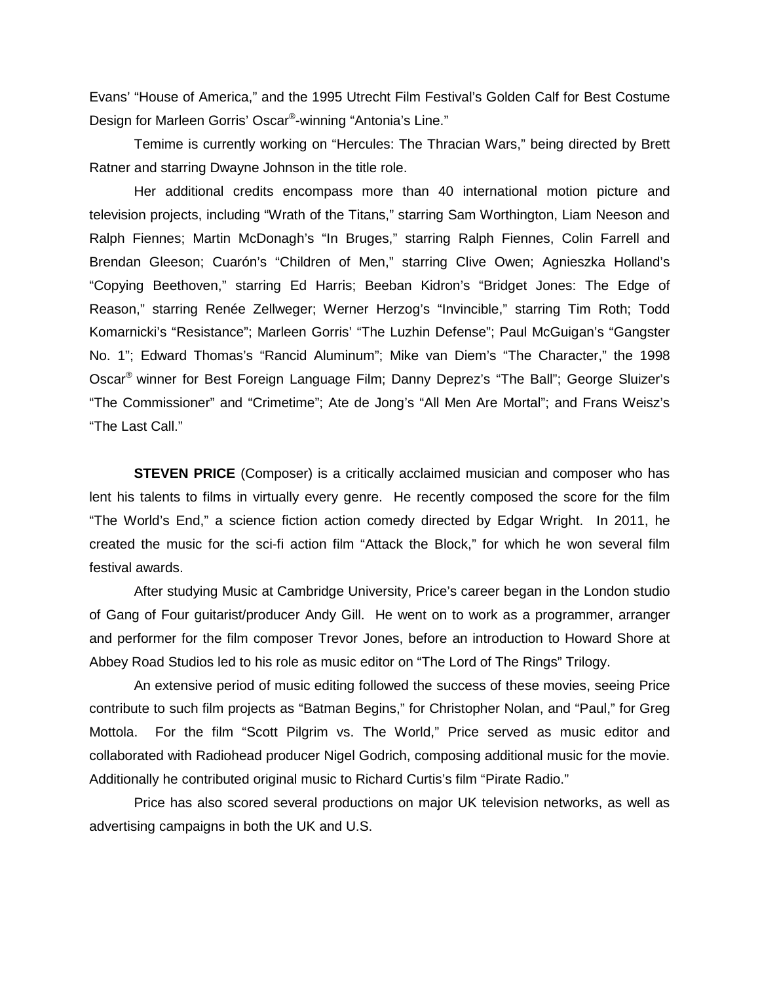Evans' "House of America," and the 1995 Utrecht Film Festival's Golden Calf for Best Costume Design for Marleen Gorris' Oscar®-winning "Antonia's Line."

Temime is currently working on "Hercules: The Thracian Wars," being directed by Brett Ratner and starring Dwayne Johnson in the title role.

Her additional credits encompass more than 40 international motion picture and television projects, including "Wrath of the Titans," starring Sam Worthington, Liam Neeson and Ralph Fiennes; Martin McDonagh's "In Bruges," starring Ralph Fiennes, Colin Farrell and Brendan Gleeson; Cuarón's "Children of Men," starring Clive Owen; Agnieszka Holland's "Copying Beethoven," starring Ed Harris; Beeban Kidron's "Bridget Jones: The Edge of Reason," starring Renée Zellweger; Werner Herzog's "Invincible," starring Tim Roth; Todd Komarnicki's "Resistance"; Marleen Gorris' "The Luzhin Defense"; Paul McGuigan's "Gangster No. 1"; Edward Thomas's "Rancid Aluminum"; Mike van Diem's "The Character," the 1998 Oscar® winner for Best Foreign Language Film; Danny Deprez's "The Ball"; George Sluizer's "The Commissioner" and "Crimetime"; Ate de Jong's "All Men Are Mortal"; and Frans Weisz's "The Last Call."

**STEVEN PRICE** (Composer) is a critically acclaimed musician and composer who has lent his talents to films in virtually every genre. He recently composed the score for the film "The World's End," a science fiction action comedy directed by Edgar Wright. In 2011, he created the music for the sci-fi action film "Attack the Block," for which he won several film festival awards.

After studying Music at Cambridge University, Price's career began in the London studio of Gang of Four guitarist/producer Andy Gill. He went on to work as a programmer, arranger and performer for the film composer Trevor Jones, before an introduction to Howard Shore at Abbey Road Studios led to his role as music editor on "The Lord of The Rings" Trilogy.

An extensive period of music editing followed the success of these movies, seeing Price contribute to such film projects as "Batman Begins," for Christopher Nolan, and "Paul," for Greg Mottola. For the film "Scott Pilgrim vs. The World," Price served as music editor and collaborated with Radiohead producer Nigel Godrich, composing additional music for the movie. Additionally he contributed original music to Richard Curtis's film "Pirate Radio."

Price has also scored several productions on major UK television networks, as well as advertising campaigns in both the UK and U.S.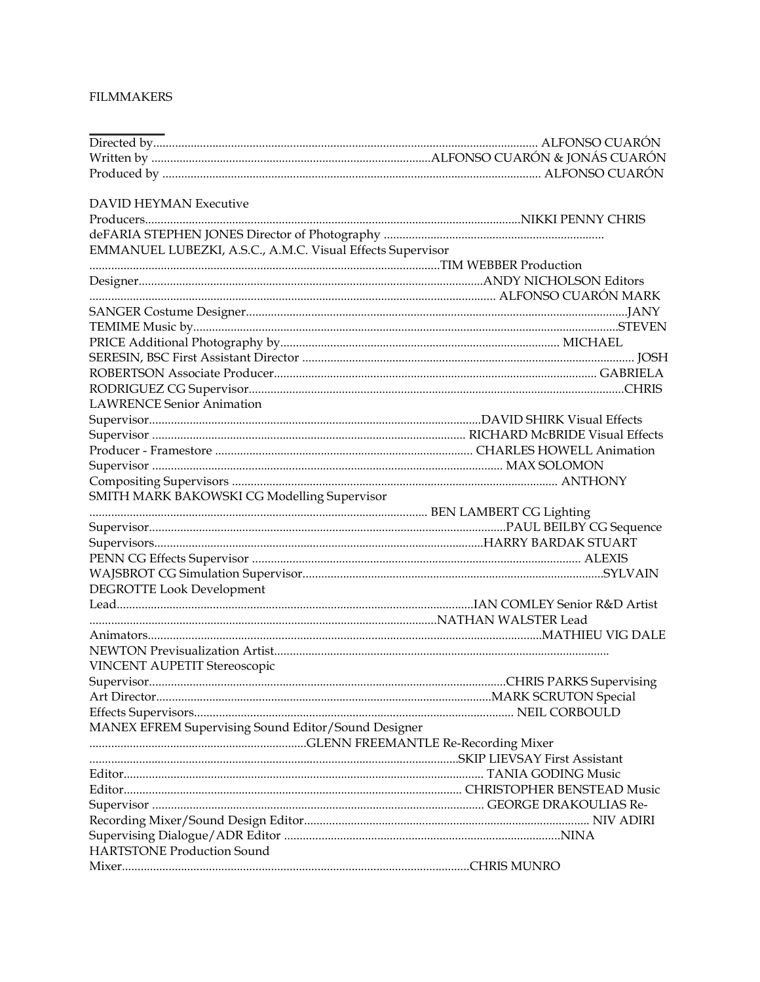#### **FILMMAKERS**

| <b>DAVID HEYMAN Executive</b>                              |  |
|------------------------------------------------------------|--|
|                                                            |  |
|                                                            |  |
| EMMANUEL LUBEZKI, A.S.C., A.M.C. Visual Effects Supervisor |  |
|                                                            |  |
|                                                            |  |
|                                                            |  |
|                                                            |  |
|                                                            |  |
|                                                            |  |
|                                                            |  |
|                                                            |  |
|                                                            |  |
| <b>LAWRENCE Senior Animation</b>                           |  |
|                                                            |  |
|                                                            |  |
|                                                            |  |
|                                                            |  |
|                                                            |  |
| SMITH MARK BAKOWSKI CG Modelling Supervisor                |  |
|                                                            |  |
|                                                            |  |
|                                                            |  |
|                                                            |  |
|                                                            |  |
| DEGROTTE Look Development                                  |  |
|                                                            |  |
|                                                            |  |
|                                                            |  |
|                                                            |  |
| VINCENT AUPETIT Stereoscopic                               |  |
|                                                            |  |
|                                                            |  |
|                                                            |  |
| MANEX EFREM Supervising Sound Editor/Sound Designer        |  |
|                                                            |  |
|                                                            |  |
|                                                            |  |
|                                                            |  |
|                                                            |  |
|                                                            |  |
|                                                            |  |
| <b>HARTSTONE Production Sound</b>                          |  |
|                                                            |  |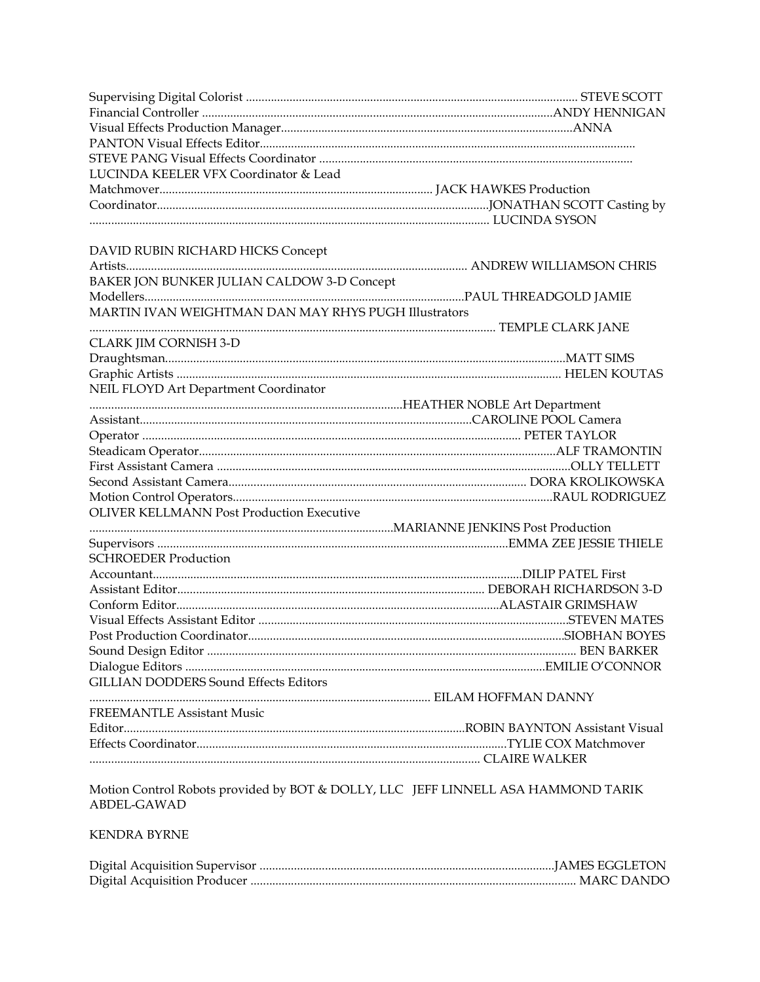| LUCINDA KEELER VFX Coordinator & Lead                                             |  |
|-----------------------------------------------------------------------------------|--|
|                                                                                   |  |
|                                                                                   |  |
|                                                                                   |  |
| DAVID RUBIN RICHARD HICKS Concept                                                 |  |
|                                                                                   |  |
| BAKER JON BUNKER JULIAN CALDOW 3-D Concept                                        |  |
|                                                                                   |  |
| MARTIN IVAN WEIGHTMAN DAN MAY RHYS PUGH Illustrators                              |  |
|                                                                                   |  |
| CLARK JIM CORNISH 3-D                                                             |  |
|                                                                                   |  |
|                                                                                   |  |
| NEIL FLOYD Art Department Coordinator                                             |  |
|                                                                                   |  |
|                                                                                   |  |
|                                                                                   |  |
|                                                                                   |  |
|                                                                                   |  |
|                                                                                   |  |
|                                                                                   |  |
| <b>OLIVER KELLMANN Post Production Executive</b>                                  |  |
|                                                                                   |  |
|                                                                                   |  |
| <b>SCHROEDER Production</b>                                                       |  |
|                                                                                   |  |
|                                                                                   |  |
|                                                                                   |  |
|                                                                                   |  |
|                                                                                   |  |
|                                                                                   |  |
|                                                                                   |  |
| <b>GILLIAN DODDERS Sound Effects Editors</b>                                      |  |
|                                                                                   |  |
| <b>FREEMANTLE Assistant Music</b>                                                 |  |
|                                                                                   |  |
|                                                                                   |  |
|                                                                                   |  |
|                                                                                   |  |
| Motion Control Robots provided by BOT & DOLLY, LLC JEFF LINNELL ASA HAMMOND TARIK |  |

ABDEL-GAWAD

# **KENDRA BYRNE**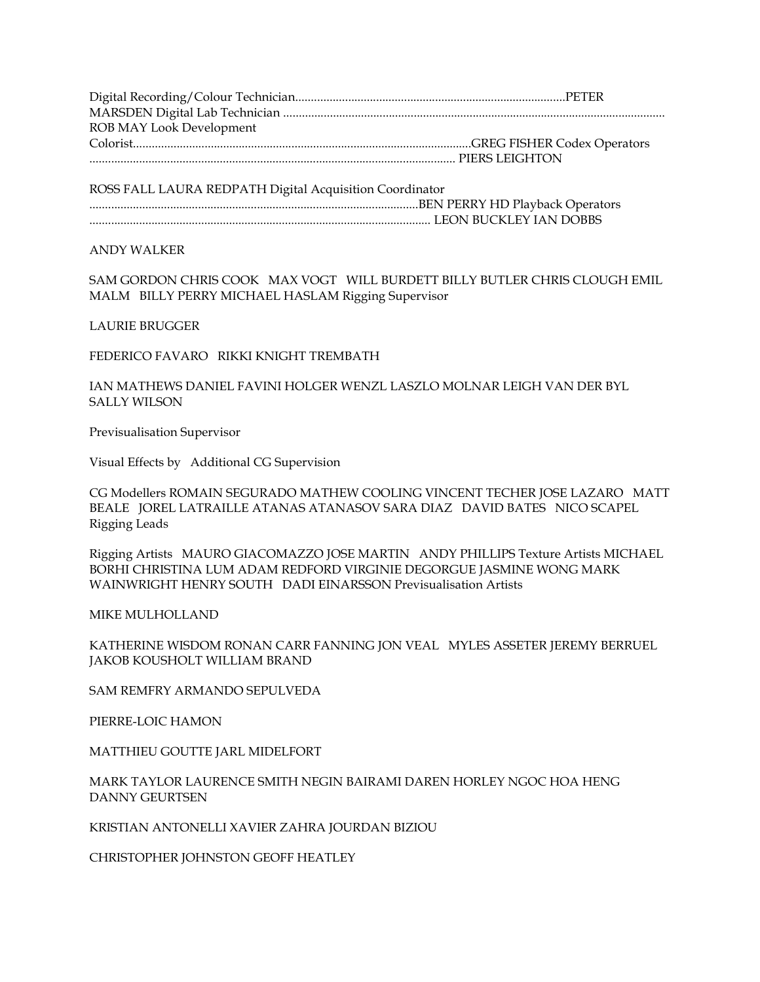Digital Recording/Colour Technician.......................................................................................PETER MARSDEN Digital Lab Technician ........................................................................................................................... ROB MAY Look Development Colorist.............................................................................................................GREG FISHER Codex Operators ...................................................................................................................... PIERS LEIGHTON

ROSS FALL LAURA REDPATH Digital Acquisition Coordinator ..........................................................................................................BEN PERRY HD Playback Operators .............................................................................................................. LEON BUCKLEY IAN DOBBS

#### ANDY WALKER

SAM GORDON CHRIS COOK MAX VOGT WILL BURDETT BILLY BUTLER CHRIS CLOUGH EMIL MALM BILLY PERRY MICHAEL HASLAM Rigging Supervisor

LAURIE BRUGGER

FEDERICO FAVARO RIKKI KNIGHT TREMBATH

IAN MATHEWS DANIEL FAVINI HOLGER WENZL LASZLO MOLNAR LEIGH VAN DER BYL SALLY WILSON

Previsualisation Supervisor

Visual Effects by Additional CG Supervision

CG Modellers ROMAIN SEGURADO MATHEW COOLING VINCENT TECHER JOSE LAZARO MATT BEALE JOREL LATRAILLE ATANAS ATANASOV SARA DIAZ DAVID BATES NICO SCAPEL Rigging Leads

Rigging Artists MAURO GIACOMAZZO JOSE MARTIN ANDY PHILLIPS Texture Artists MICHAEL BORHI CHRISTINA LUM ADAM REDFORD VIRGINIE DEGORGUE JASMINE WONG MARK WAINWRIGHT HENRY SOUTH DADI EINARSSON Previsualisation Artists

MIKE MULHOLLAND

KATHERINE WISDOM RONAN CARR FANNING JON VEAL MYLES ASSETER JEREMY BERRUEL JAKOB KOUSHOLT WILLIAM BRAND

SAM REMFRY ARMANDO SEPULVEDA

PIERRE-LOIC HAMON

MATTHIEU GOUTTE JARL MIDELFORT

#### MARK TAYLOR LAURENCE SMITH NEGIN BAIRAMI DAREN HORLEY NGOC HOA HENG DANNY GEURTSEN

KRISTIAN ANTONELLI XAVIER ZAHRA JOURDAN BIZIOU

CHRISTOPHER JOHNSTON GEOFF HEATLEY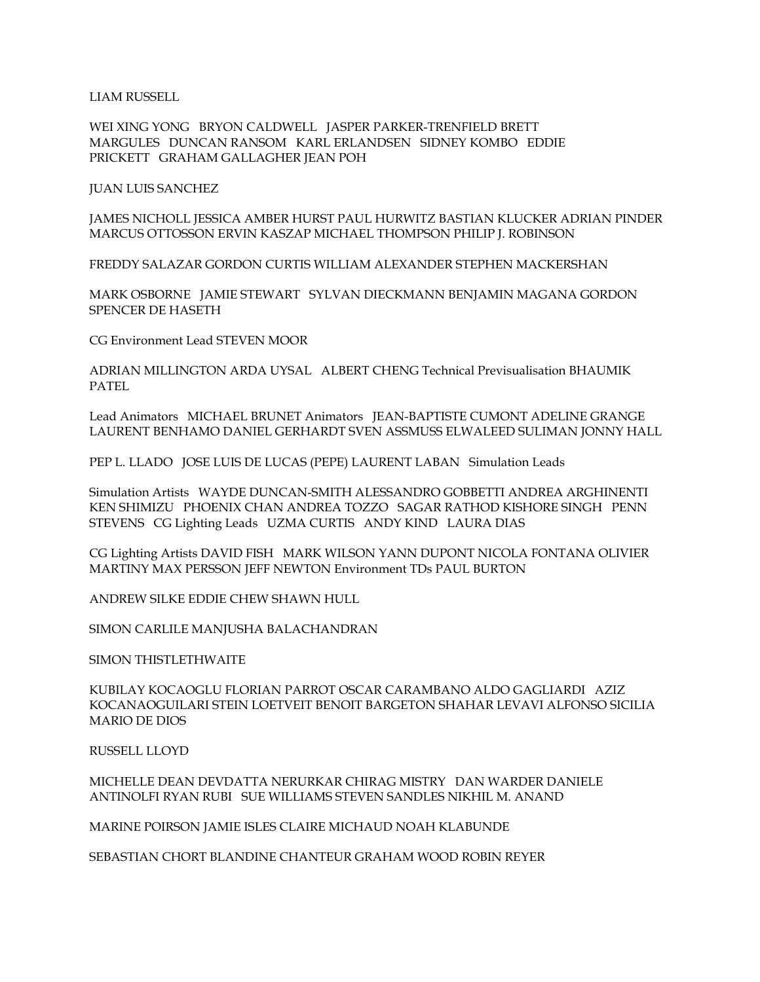LIAM RUSSELL

WEI XING YONG BRYON CALDWELL JASPER PARKER-TRENFIELD BRETT MARGULES DUNCAN RANSOM KARL ERLANDSEN SIDNEY KOMBO EDDIE PRICKETT GRAHAM GALLAGHER JEAN POH

JUAN LUIS SANCHEZ

JAMES NICHOLL JESSICA AMBER HURST PAUL HURWITZ BASTIAN KLUCKER ADRIAN PINDER MARCUS OTTOSSON ERVIN KASZAP MICHAEL THOMPSON PHILIP J. ROBINSON

FREDDY SALAZAR GORDON CURTIS WILLIAM ALEXANDER STEPHEN MACKERSHAN

MARK OSBORNE JAMIE STEWART SYLVAN DIECKMANN BENJAMIN MAGANA GORDON SPENCER DE HASETH

CG Environment Lead STEVEN MOOR

ADRIAN MILLINGTON ARDA UYSAL ALBERT CHENG Technical Previsualisation BHAUMIK PATEL

Lead Animators MICHAEL BRUNET Animators JEAN-BAPTISTE CUMONT ADELINE GRANGE LAURENT BENHAMO DANIEL GERHARDT SVEN ASSMUSS ELWALEED SULIMAN JONNY HALL

PEP L. LLADO JOSE LUIS DE LUCAS (PEPE) LAURENT LABAN Simulation Leads

Simulation Artists WAYDE DUNCAN-SMITH ALESSANDRO GOBBETTI ANDREA ARGHINENTI KEN SHIMIZU PHOENIX CHAN ANDREA TOZZO SAGAR RATHOD KISHORE SINGH PENN STEVENS CG Lighting Leads UZMA CURTIS ANDY KIND LAURA DIAS

CG Lighting Artists DAVID FISH MARK WILSON YANN DUPONT NICOLA FONTANA OLIVIER MARTINY MAX PERSSON JEFF NEWTON Environment TDs PAUL BURTON

ANDREW SILKE EDDIE CHEW SHAWN HULL

SIMON CARLILE MANJUSHA BALACHANDRAN

SIMON THISTLETHWAITE

KUBILAY KOCAOGLU FLORIAN PARROT OSCAR CARAMBANO ALDO GAGLIARDI AZIZ KOCANAOGUILARI STEIN LOETVEIT BENOIT BARGETON SHAHAR LEVAVI ALFONSO SICILIA MARIO DE DIOS

RUSSELL LLOYD

MICHELLE DEAN DEVDATTA NERURKAR CHIRAG MISTRY DAN WARDER DANIELE ANTINOLFI RYAN RUBI SUE WILLIAMS STEVEN SANDLES NIKHIL M. ANAND

MARINE POIRSON JAMIE ISLES CLAIRE MICHAUD NOAH KLABUNDE

SEBASTIAN CHORT BLANDINE CHANTEUR GRAHAM WOOD ROBIN REYER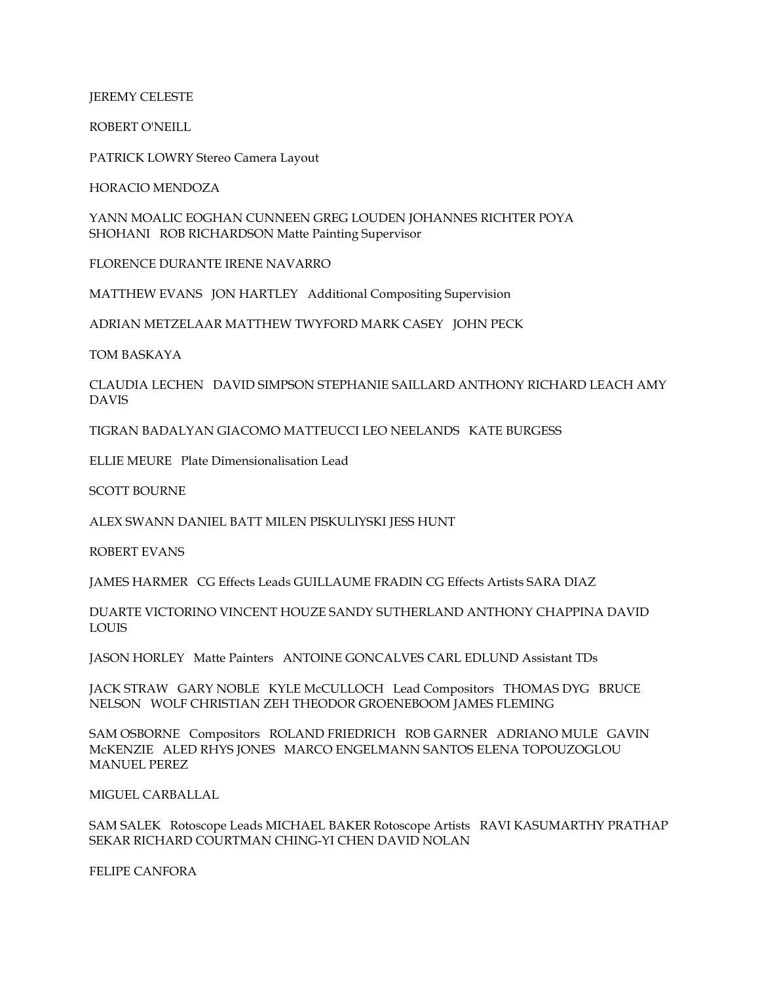JEREMY CELESTE

ROBERT O'NEILL

PATRICK LOWRY Stereo Camera Layout

HORACIO MENDOZA

YANN MOALIC EOGHAN CUNNEEN GREG LOUDEN JOHANNES RICHTER POYA SHOHANI ROB RICHARDSON Matte Painting Supervisor

FLORENCE DURANTE IRENE NAVARRO

MATTHEW EVANS JON HARTLEY Additional Compositing Supervision

ADRIAN METZELAAR MATTHEW TWYFORD MARK CASEY JOHN PECK

TOM BASKAYA

CLAUDIA LECHEN DAVID SIMPSON STEPHANIE SAILLARD ANTHONY RICHARD LEACH AMY DAVIS

TIGRAN BADALYAN GIACOMO MATTEUCCI LEO NEELANDS KATE BURGESS

ELLIE MEURE Plate Dimensionalisation Lead

SCOTT BOURNE

ALEX SWANN DANIEL BATT MILEN PISKULIYSKI JESS HUNT

ROBERT EVANS

JAMES HARMER CG Effects Leads GUILLAUME FRADIN CG Effects Artists SARA DIAZ

DUARTE VICTORINO VINCENT HOUZE SANDY SUTHERLAND ANTHONY CHAPPINA DAVID LOUIS

JASON HORLEY Matte Painters ANTOINE GONCALVES CARL EDLUND Assistant TDs

JACK STRAW GARY NOBLE KYLE McCULLOCH Lead Compositors THOMAS DYG BRUCE NELSON WOLF CHRISTIAN ZEH THEODOR GROENEBOOM JAMES FLEMING

SAM OSBORNE Compositors ROLAND FRIEDRICH ROB GARNER ADRIANO MULE GAVIN McKENZIE ALED RHYS JONES MARCO ENGELMANN SANTOS ELENA TOPOUZOGLOU MANUEL PEREZ

MIGUEL CARBALLAL

SAM SALEK Rotoscope Leads MICHAEL BAKER Rotoscope Artists RAVI KASUMARTHY PRATHAP SEKAR RICHARD COURTMAN CHING-YI CHEN DAVID NOLAN

FELIPE CANFORA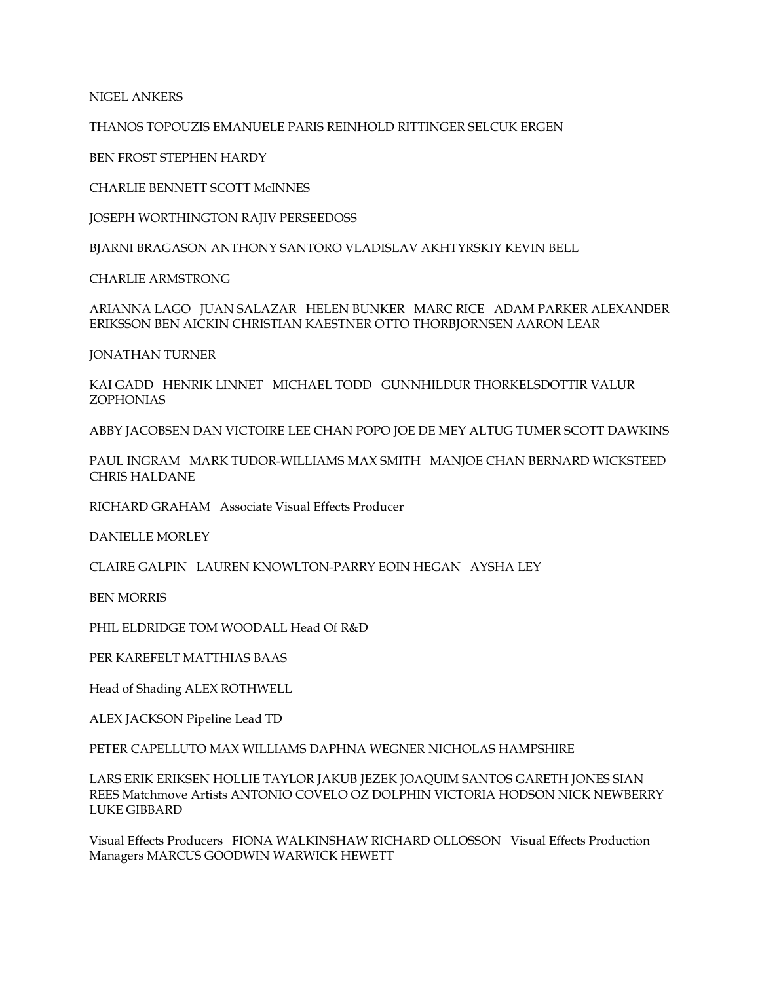NIGEL ANKERS

THANOS TOPOUZIS EMANUELE PARIS REINHOLD RITTINGER SELCUK ERGEN

BEN FROST STEPHEN HARDY

CHARLIE BENNETT SCOTT McINNES

JOSEPH WORTHINGTON RAJIV PERSEEDOSS

BJARNI BRAGASON ANTHONY SANTORO VLADISLAV AKHTYRSKIY KEVIN BELL

CHARLIE ARMSTRONG

ARIANNA LAGO JUAN SALAZAR HELEN BUNKER MARC RICE ADAM PARKER ALEXANDER ERIKSSON BEN AICKIN CHRISTIAN KAESTNER OTTO THORBJORNSEN AARON LEAR

JONATHAN TURNER

KAI GADD HENRIK LINNET MICHAEL TODD GUNNHILDUR THORKELSDOTTIR VALUR ZOPHONIAS

ABBY JACOBSEN DAN VICTOIRE LEE CHAN POPO JOE DE MEY ALTUG TUMER SCOTT DAWKINS

PAUL INGRAM MARK TUDOR-WILLIAMS MAX SMITH MANJOE CHAN BERNARD WICKSTEED CHRIS HALDANE

RICHARD GRAHAM Associate Visual Effects Producer

DANIELLE MORLEY

CLAIRE GALPIN LAUREN KNOWLTON-PARRY EOIN HEGAN AYSHA LEY

BEN MORRIS

PHIL ELDRIDGE TOM WOODALL Head Of R&D

PER KAREFELT MATTHIAS BAAS

Head of Shading ALEX ROTHWELL

ALEX JACKSON Pipeline Lead TD

PETER CAPELLUTO MAX WILLIAMS DAPHNA WEGNER NICHOLAS HAMPSHIRE

LARS ERIK ERIKSEN HOLLIE TAYLOR JAKUB JEZEK JOAQUIM SANTOS GARETH JONES SIAN REES Matchmove Artists ANTONIO COVELO OZ DOLPHIN VICTORIA HODSON NICK NEWBERRY LUKE GIBBARD

Visual Effects Producers FIONA WALKINSHAW RICHARD OLLOSSON Visual Effects Production Managers MARCUS GOODWIN WARWICK HEWETT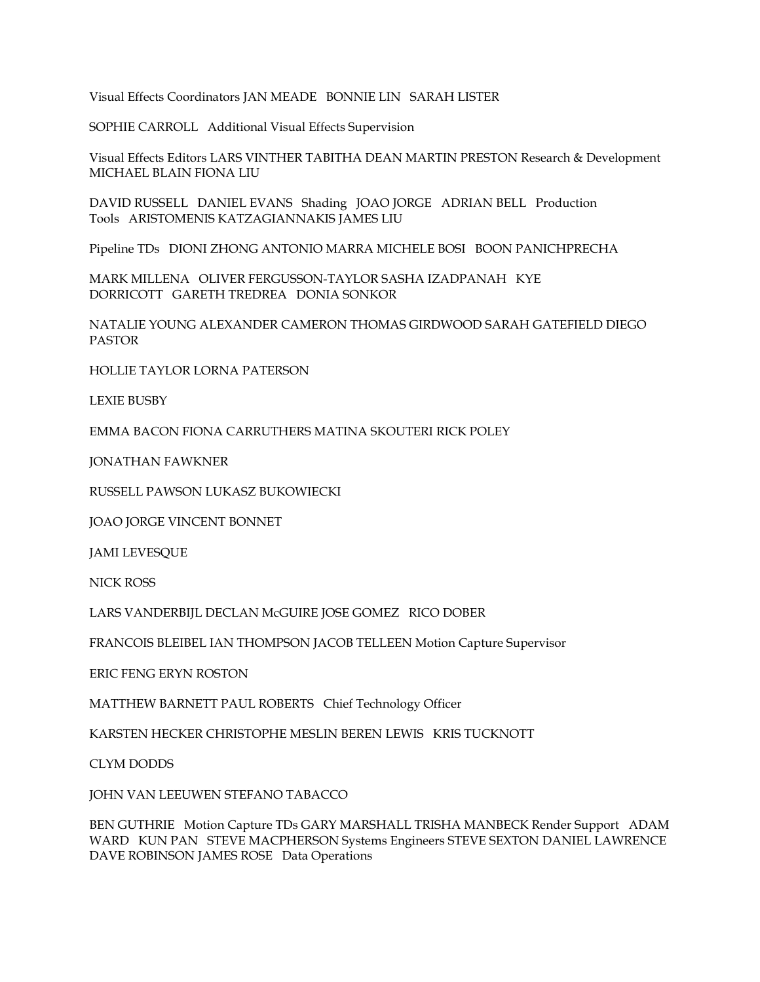Visual Effects Coordinators JAN MEADE BONNIE LIN SARAH LISTER

SOPHIE CARROLL Additional Visual Effects Supervision

Visual Effects Editors LARS VINTHER TABITHA DEAN MARTIN PRESTON Research & Development MICHAEL BLAIN FIONA LIU

DAVID RUSSELL DANIEL EVANS Shading JOAO JORGE ADRIAN BELL Production Tools ARISTOMENIS KATZAGIANNAKIS JAMES LIU

Pipeline TDs DIONI ZHONG ANTONIO MARRA MICHELE BOSI BOON PANICHPRECHA

MARK MILLENA OLIVER FERGUSSON-TAYLOR SASHA IZADPANAH KYE DORRICOTT GARETH TREDREA DONIA SONKOR

NATALIE YOUNG ALEXANDER CAMERON THOMAS GIRDWOOD SARAH GATEFIELD DIEGO PASTOR

HOLLIE TAYLOR LORNA PATERSON

LEXIE BUSBY

EMMA BACON FIONA CARRUTHERS MATINA SKOUTERI RICK POLEY

JONATHAN FAWKNER

RUSSELL PAWSON LUKASZ BUKOWIECKI

JOAO JORGE VINCENT BONNET

JAMI LEVESQUE

NICK ROSS

LARS VANDERBIJL DECLAN McGUIRE JOSE GOMEZ RICO DOBER

FRANCOIS BLEIBEL IAN THOMPSON JACOB TELLEEN Motion Capture Supervisor

ERIC FENG ERYN ROSTON

MATTHEW BARNETT PAUL ROBERTS Chief Technology Officer

KARSTEN HECKER CHRISTOPHE MESLIN BEREN LEWIS KRIS TUCKNOTT

CLYM DODDS

JOHN VAN LEEUWEN STEFANO TABACCO

BEN GUTHRIE Motion Capture TDs GARY MARSHALL TRISHA MANBECK Render Support ADAM WARD KUN PAN STEVE MACPHERSON Systems Engineers STEVE SEXTON DANIEL LAWRENCE DAVE ROBINSON JAMES ROSE Data Operations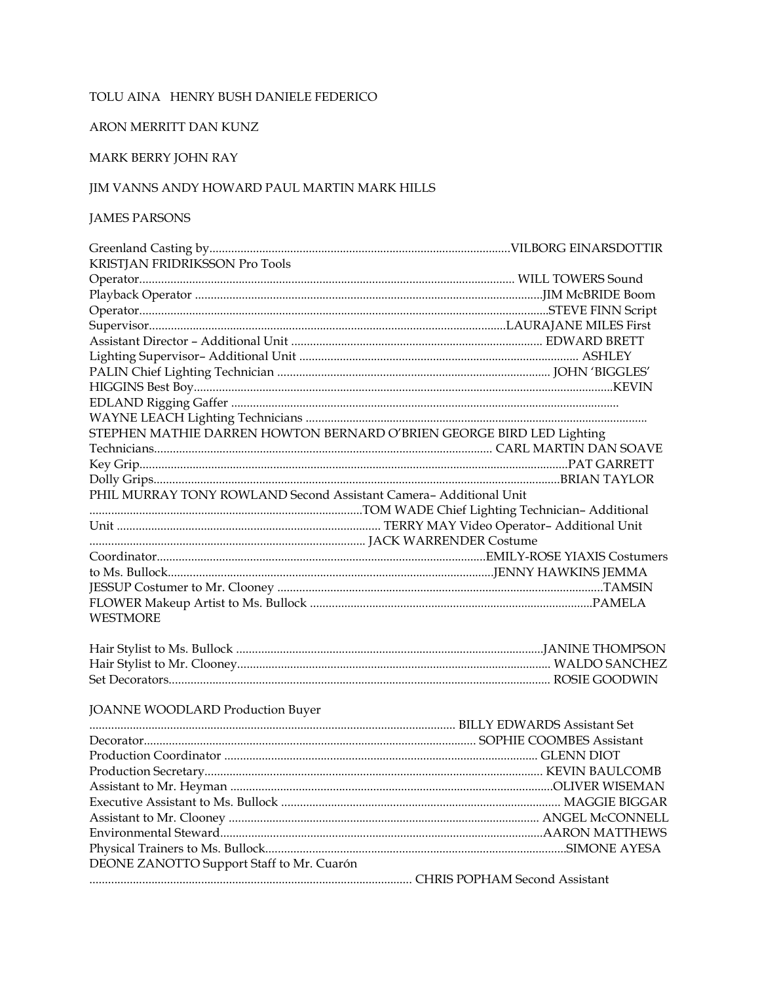#### TOLU AINA HENRY BUSH DANIELE FEDERICO

#### ARON MERRITT DAN KUNZ

## MARK BERRY JOHN RAY

### JIM VANNS ANDY HOWARD PAUL MARTIN MARK HILLS

#### **JAMES PARSONS**

| KRISTJAN FRIDRIKSSON Pro Tools                                        |  |
|-----------------------------------------------------------------------|--|
|                                                                       |  |
|                                                                       |  |
|                                                                       |  |
|                                                                       |  |
|                                                                       |  |
|                                                                       |  |
|                                                                       |  |
|                                                                       |  |
|                                                                       |  |
|                                                                       |  |
| STEPHEN MATHIE DARREN HOWTON BERNARD O'BRIEN GEORGE BIRD LED Lighting |  |
|                                                                       |  |
|                                                                       |  |
|                                                                       |  |
| PHIL MURRAY TONY ROWLAND Second Assistant Camera- Additional Unit     |  |
|                                                                       |  |
|                                                                       |  |
|                                                                       |  |
|                                                                       |  |
|                                                                       |  |
|                                                                       |  |
|                                                                       |  |
| <b>WESTMORE</b>                                                       |  |
|                                                                       |  |
|                                                                       |  |
|                                                                       |  |
|                                                                       |  |
|                                                                       |  |
| JOANNE WOODLARD Production Buyer                                      |  |
|                                                                       |  |
|                                                                       |  |
|                                                                       |  |
|                                                                       |  |
|                                                                       |  |
|                                                                       |  |
|                                                                       |  |
|                                                                       |  |
| DEONE ZANOTTO Support Staff to Mr. Cuarón                             |  |
|                                                                       |  |
|                                                                       |  |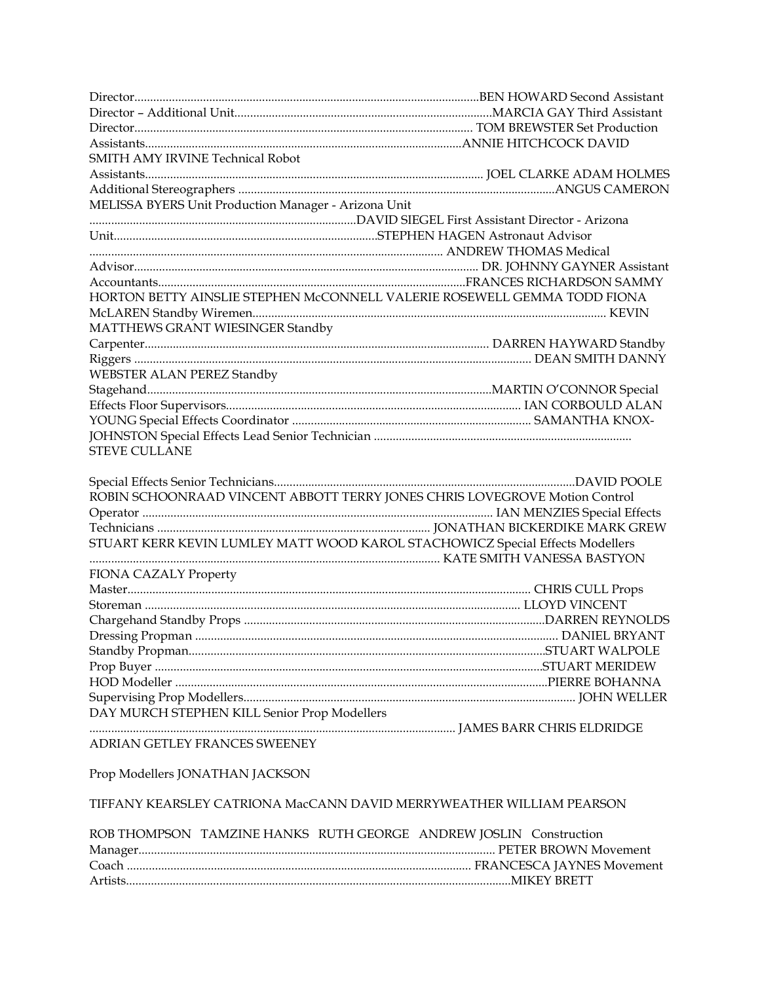| <b>SMITH AMY IRVINE Technical Robot</b>                                       |  |  |
|-------------------------------------------------------------------------------|--|--|
|                                                                               |  |  |
|                                                                               |  |  |
| MELISSA BYERS Unit Production Manager - Arizona Unit                          |  |  |
|                                                                               |  |  |
|                                                                               |  |  |
|                                                                               |  |  |
|                                                                               |  |  |
|                                                                               |  |  |
| HORTON BETTY AINSLIE STEPHEN McCONNELL VALERIE ROSEWELL GEMMA TODD FIONA      |  |  |
|                                                                               |  |  |
| MATTHEWS GRANT WIESINGER Standby                                              |  |  |
|                                                                               |  |  |
|                                                                               |  |  |
| <b>WEBSTER ALAN PEREZ Standby</b>                                             |  |  |
|                                                                               |  |  |
|                                                                               |  |  |
|                                                                               |  |  |
|                                                                               |  |  |
| <b>STEVE CULLANE</b>                                                          |  |  |
|                                                                               |  |  |
|                                                                               |  |  |
| ROBIN SCHOONRAAD VINCENT ABBOTT TERRY JONES CHRIS LOVEGROVE Motion Control    |  |  |
|                                                                               |  |  |
|                                                                               |  |  |
| STUART KERR KEVIN LUMLEY MATT WOOD KAROL STACHOWICZ Special Effects Modellers |  |  |
|                                                                               |  |  |
| FIONA CAZALY Property                                                         |  |  |
|                                                                               |  |  |
|                                                                               |  |  |
|                                                                               |  |  |
|                                                                               |  |  |
|                                                                               |  |  |
|                                                                               |  |  |
|                                                                               |  |  |
|                                                                               |  |  |
| DAY MURCH STEPHEN KILL Senior Prop Modellers                                  |  |  |
| ADRIAN GETLEY FRANCES SWEENEY                                                 |  |  |
|                                                                               |  |  |
| Prop Modellers JONATHAN JACKSON                                               |  |  |
|                                                                               |  |  |
| TIFFANY KEARSLEY CATRIONA MacCANN DAVID MERRYWEATHER WILLIAM PEARSON          |  |  |
|                                                                               |  |  |
| ROB THOMPSON TAMZINE HANKS RUTH GEORGE ANDREW JOSLIN Construction             |  |  |
|                                                                               |  |  |

Coach ............................................................................................................... FRANCESCA JAYNES Movement

Artists............................................................................................................................MIKEY BRETT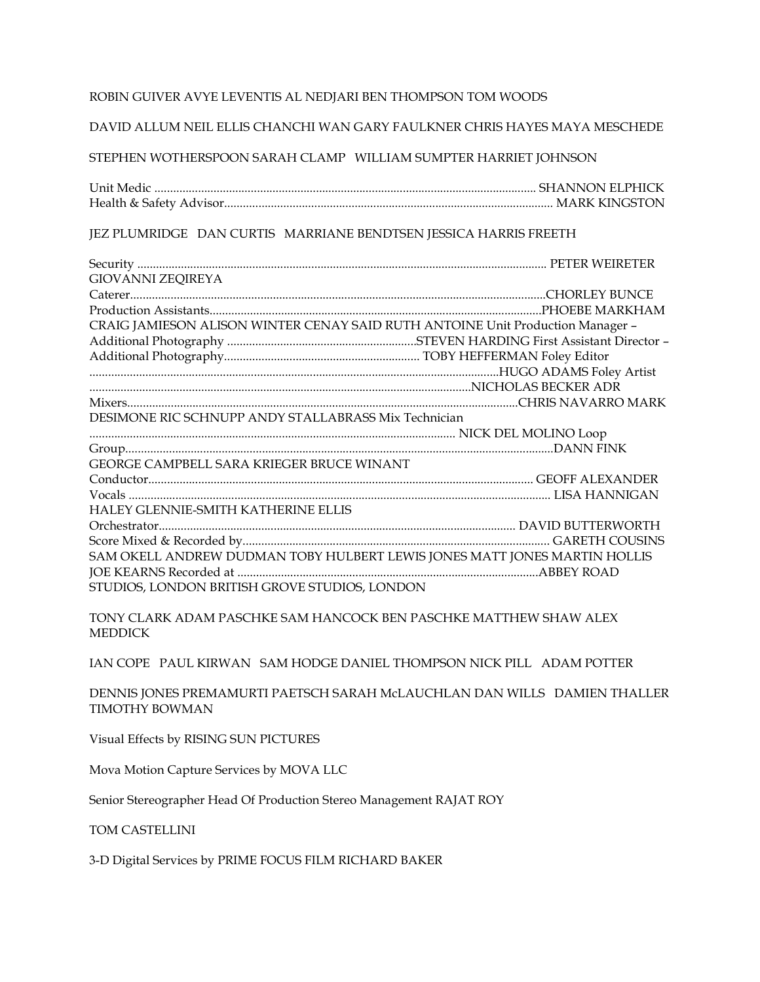#### ROBIN GUIVER AVYE LEVENTIS AL NEDJARI BEN THOMPSON TOM WOODS

DAVID ALLUM NEIL ELLIS CHANCHI WAN GARY FAULKNER CHRIS HAYES MAYA MESCHEDE

STEPHEN WOTHERSPOON SARAH CLAMP WILLIAM SUMPTER HARRIET JOHNSON

Unit Medic ........................................................................................................................... SHANNON ELPHICK Health & Safety Advisor.......................................................................................................... MARK KINGSTON

JEZ PLUMRIDGE DAN CURTIS MARRIANE BENDTSEN JESSICA HARRIS FREETH

| <b>GIOVANNI ZEQIREYA</b>                                                       |  |
|--------------------------------------------------------------------------------|--|
|                                                                                |  |
|                                                                                |  |
| CRAIG JAMIESON ALISON WINTER CENAY SAID RUTH ANTOINE Unit Production Manager - |  |
|                                                                                |  |
|                                                                                |  |
|                                                                                |  |
|                                                                                |  |
|                                                                                |  |
| DESIMONE RIC SCHNUPP ANDY STALLABRASS Mix Technician                           |  |
|                                                                                |  |
|                                                                                |  |
| GEORGE CAMPBELL SARA KRIEGER BRUCE WINANT                                      |  |
|                                                                                |  |
|                                                                                |  |
| HALEY GLENNIE-SMITH KATHERINE ELLIS                                            |  |
|                                                                                |  |
|                                                                                |  |
| SAM OKELL ANDREW DUDMAN TOBY HULBERT LEWIS JONES MATT JONES MARTIN HOLLIS      |  |
|                                                                                |  |
| STUDIOS, LONDON BRITISH GROVE STUDIOS, LONDON                                  |  |

TONY CLARK ADAM PASCHKE SAM HANCOCK BEN PASCHKE MATTHEW SHAW ALEX **MEDDICK** 

IAN COPE PAUL KIRWAN SAM HODGE DANIEL THOMPSON NICK PILL ADAM POTTER

DENNIS JONES PREMAMURTI PAETSCH SARAH McLAUCHLAN DAN WILLS DAMIEN THALLER TIMOTHY BOWMAN

Visual Effects by RISING SUN PICTURES

Mova Motion Capture Services by MOVA LLC

Senior Stereographer Head Of Production Stereo Management RAJAT ROY

TOM CASTELLINI

3-D Digital Services by PRIME FOCUS FILM RICHARD BAKER